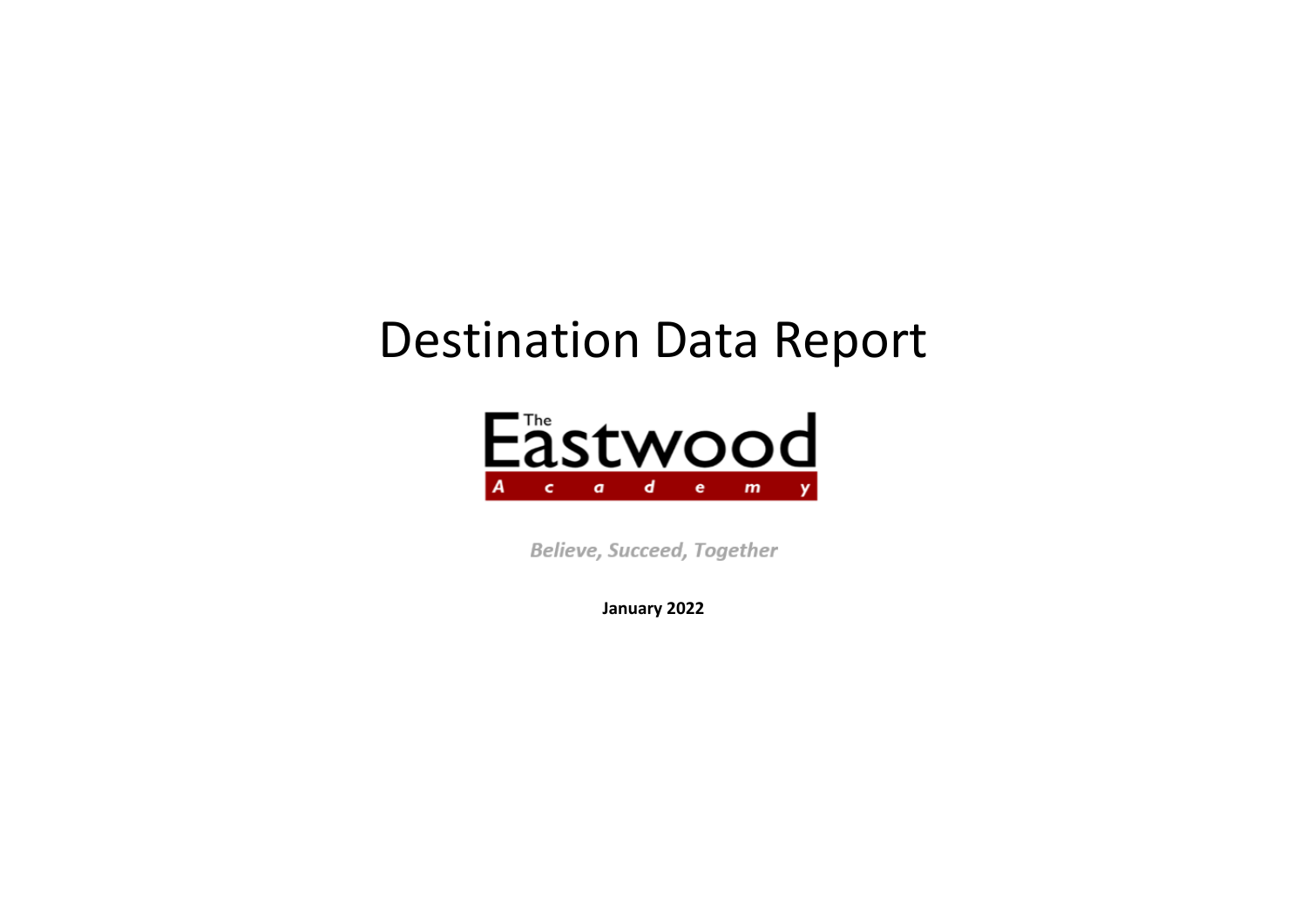# Destination Data Report



Believe, Succeed, Together

**January 2022**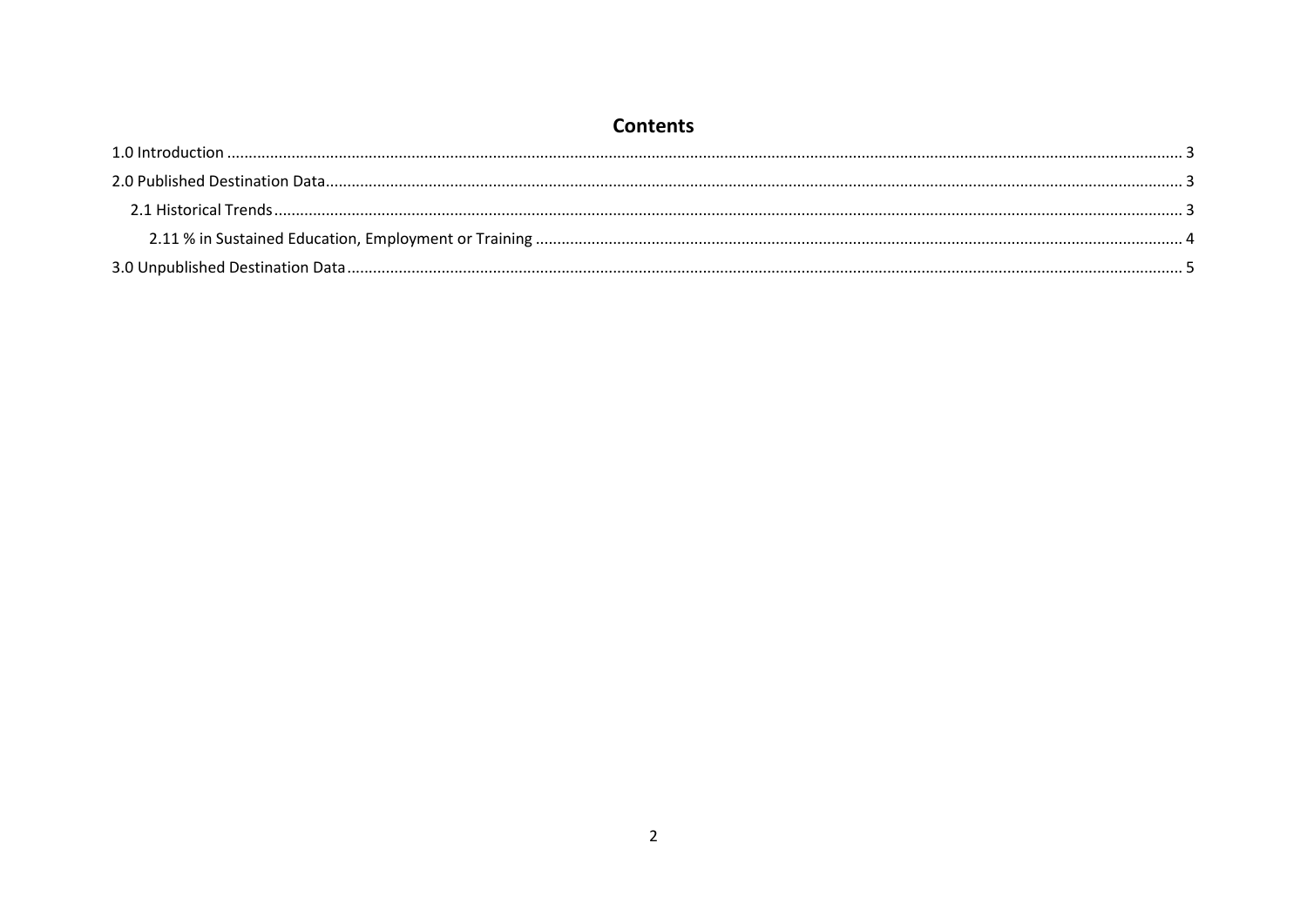# **Contents**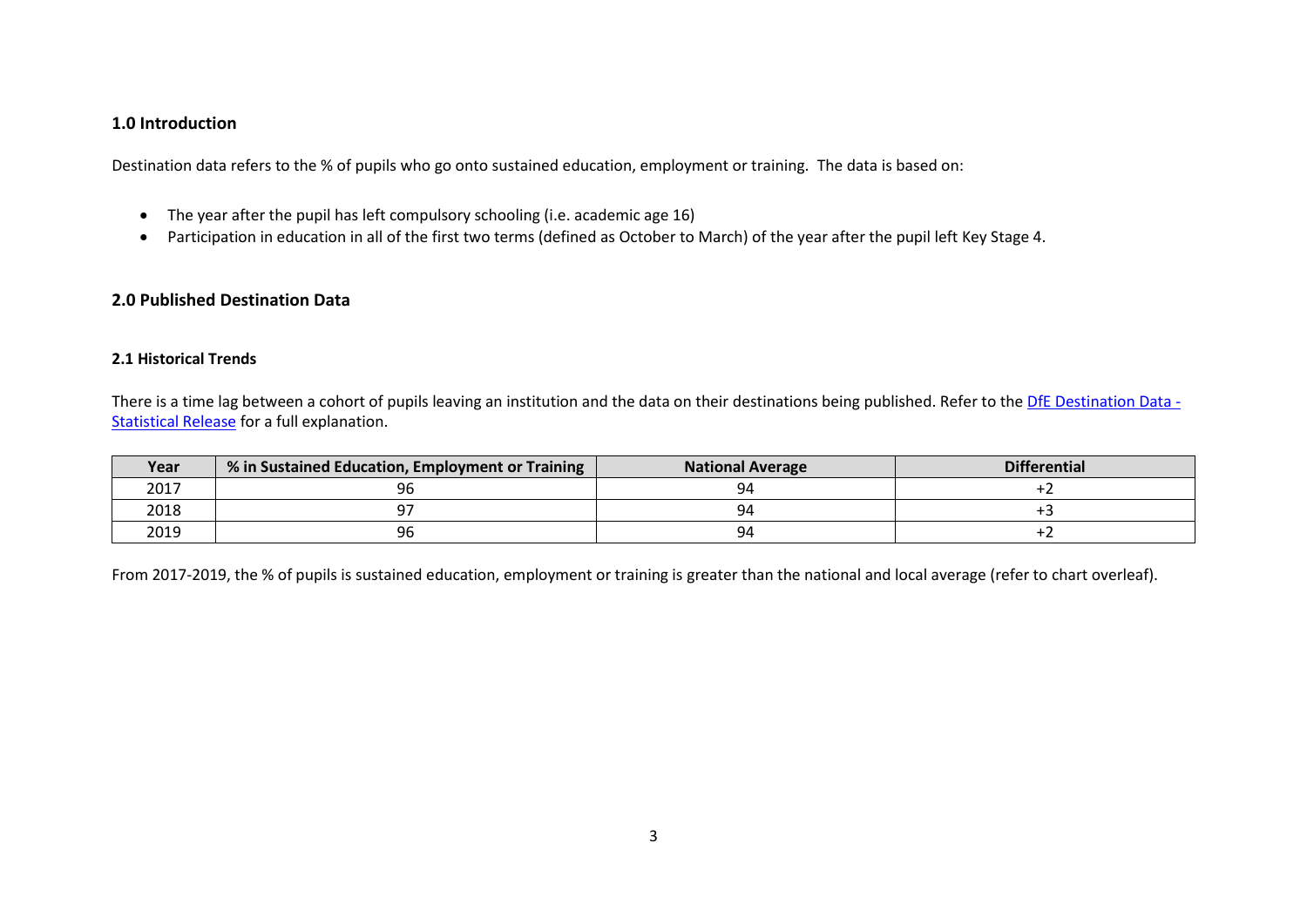## <span id="page-2-0"></span>**1.0 Introduction**

Destination data refers to the % of pupils who go onto sustained education, employment or training. The data is based on:

- The year after the pupil has left compulsory schooling (i.e. academic age 16)
- Participation in education in all of the first two terms (defined as October to March) of the year after the pupil left Key Stage 4.

## <span id="page-2-1"></span>**2.0 Published Destination Data**

#### <span id="page-2-2"></span>**2.1 Historical Trends**

There is a time lag between a cohort of pupils leaving an institution and the data on their destinations being published. Refer to th[e DfE Destination Data -](https://www.gov.uk/government/uploads/system/uploads/attachment_data/file/493181/SFR052016_Text.pdf) [Statistical Release](https://www.gov.uk/government/uploads/system/uploads/attachment_data/file/493181/SFR052016_Text.pdf) for a full explanation.

| Year | √% in Sustained Education, Employment or Training | <b>National Average</b> | <b>Differential</b> |
|------|---------------------------------------------------|-------------------------|---------------------|
| 2017 | 96                                                | чд                      |                     |
| 2018 |                                                   | чд                      |                     |
| 2019 | 96                                                | -94                     |                     |

From 2017-2019, the % of pupils is sustained education, employment or training is greater than the national and local average (refer to chart overleaf).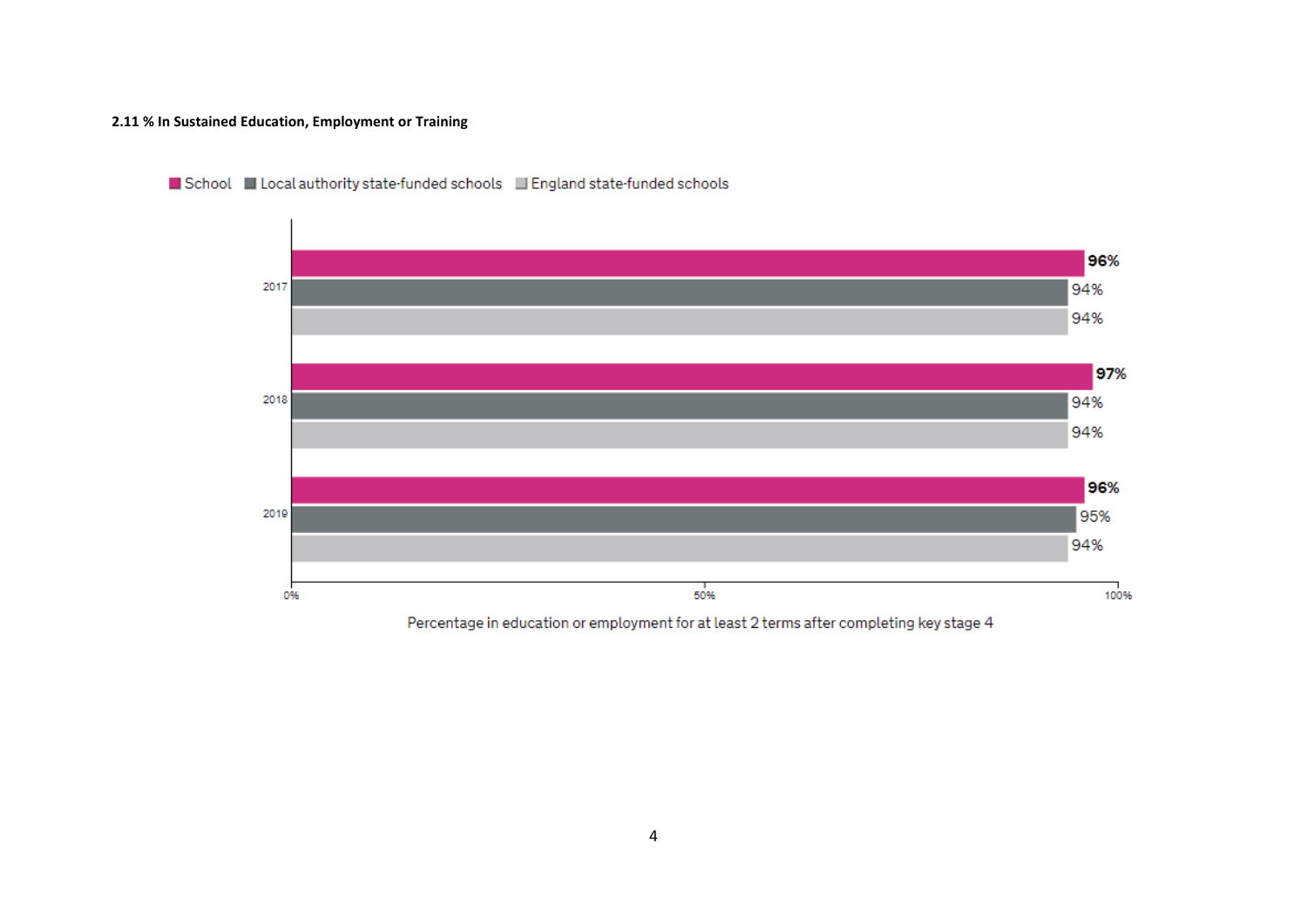#### <span id="page-3-0"></span>**2.11 % In Sustained Education, Employment or Training**



#### School Lucal authority state-funded schools Lu England state-funded schools

Percentage in education or employment for at least 2 terms after completing key stage 4